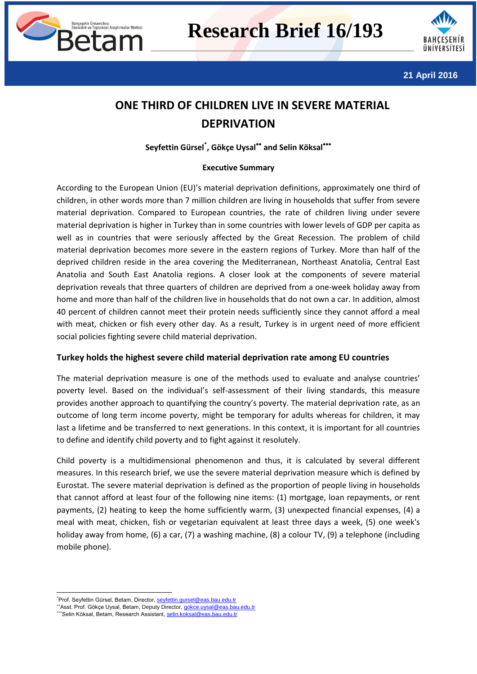



**21 April 2016**

# **ONE THIRD OF CHILDREN LIVE IN SEVERE MATERIAL DEPRIVATION**

# **Seyfettin Gürsel\* , Gökçe Uysal and Selin Köksal**

### **Executive Summary**

According to the European Union (EU)'s material deprivation definitions, approximately one third of children, in other words more than 7 million children are living in households that suffer from severe material deprivation. Compared to European countries, the rate of children living under severe material deprivation is higher in Turkey than in some countries with lower levels of GDP per capita as well as in countries that were seriously affected by the Great Recession. The problem of child material deprivation becomes more severe in the eastern regions of Turkey. More than half of the deprived children reside in the area covering the Mediterranean, Northeast Anatolia, Central East Anatolia and South East Anatolia regions. A closer look at the components of severe material deprivation reveals that three quarters of children are deprived from a one-week holiday away from home and more than half of the children live in households that do not own a car. In addition, almost 40 percent of children cannot meet their protein needs sufficiently since they cannot afford a meal with meat, chicken or fish every other day. As a result, Turkey is in urgent need of more efficient social policies fighting severe child material deprivation.

## **Turkey holds the highest severe child material deprivation rate among EU countries**

The material deprivation measure is one of the methods used to evaluate and analyse countries' poverty level. Based on the individual's self-assessment of their living standards, this measure provides another approach to quantifying the country's poverty. The material deprivation rate, as an outcome of long term income poverty, might be temporary for adults whereas for children, it may last a lifetime and be transferred to next generations. In this context, it is important for all countries to define and identify child poverty and to fight against it resolutely.

Child poverty is a multidimensional phenomenon and thus, it is calculated by several different measures. In this research brief, we use the severe material deprivation measure which is defined by Eurostat. The severe material deprivation is defined as the proportion of people living in households that cannot afford at least four of the following nine items: (1) mortgage, loan repayments, or rent payments, (2) heating to keep the home sufficiently warm, (3) unexpected financial expenses, (4) a meal with meat, chicken, fish or vegetarian equivalent at least three days a week, (5) one week's holiday away from home, (6) a car, (7) a washing machine, (8) a colour TV, (9) a telephone (including mobile phone).

**.** 

<sup>\*</sup>Prof. Seyfettin Gürsel, Betam, Director, [seyfettin.gursel@eas.bau.edu.tr](mailto:seyfettin.gursel@eas.bau.edu.tr)

<sup>\*\*</sup> Asst. Prof. Gökçe Uysal, Betam, Deputy Director, [gokce.uysal@eas.bau.edu.tr](mailto:gokce.uysal@eas.bau.edu.tr)

Selin Köksal, Betam, Research Assistant[, selin.koksal@eas.bau.edu.tr](mailto:selin.koksal@eas.bau.edu.tr)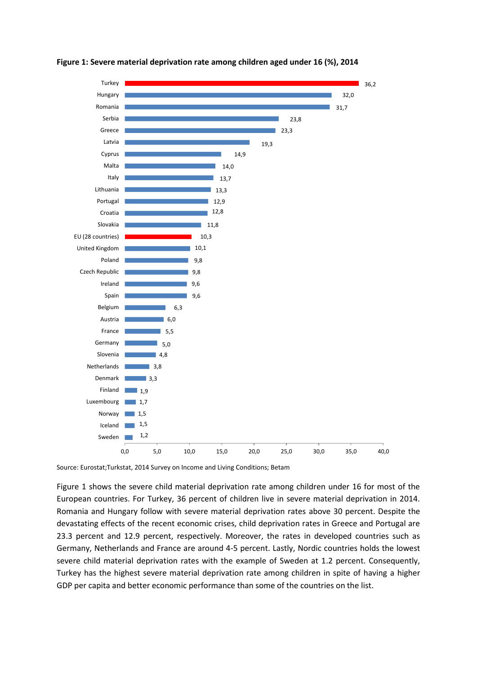

#### **Figure 1: Severe material deprivation rate among children aged under 16 (%), 2014**

Source: Eurostat;Turkstat, 2014 Survey on Income and Living Conditions; Betam

[Figure 1](#page-3-0) shows the severe child material deprivation rate among children under 16 for most of the European countries. For Turkey, 36 percent of children live in severe material deprivation in 2014. Romania and Hungary follow with severe material deprivation rates above 30 percent. Despite the devastating effects of the recent economic crises, child deprivation rates in Greece and Portugal are 23.3 percent and 12.9 percent, respectively. Moreover, the rates in developed countries such as Germany, Netherlands and France are around 4-5 percent. Lastly, Nordic countries holds the lowest severe child material deprivation rates with the example of Sweden at 1.2 percent. Consequently, Turkey has the highest severe material deprivation rate among children in spite of having a higher GDP per capita and better economic performance than some of the countries on the list.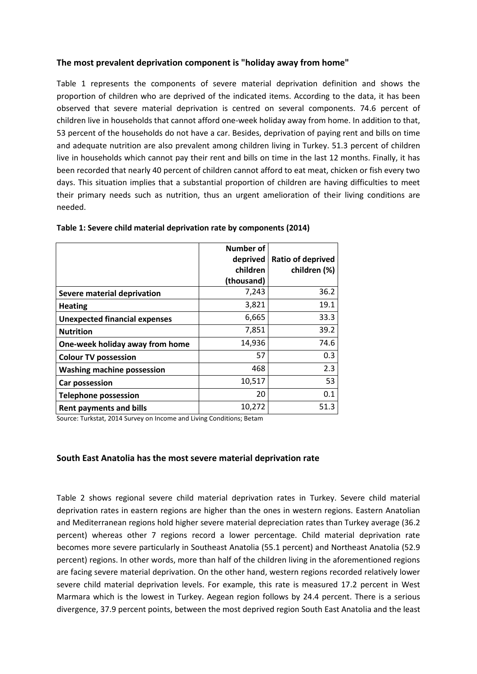## **The most prevalent deprivation component is "holiday away from home"**

[Table 1](#page-2-0) represents the components of severe material deprivation definition and shows the proportion of children who are deprived of the indicated items. According to the data, it has been observed that severe material deprivation is centred on several components. 74.6 percent of children live in households that cannot afford one-week holiday away from home. In addition to that, 53 percent of the households do not have a car. Besides, deprivation of paying rent and bills on time and adequate nutrition are also prevalent among children living in Turkey. 51.3 percent of children live in households which cannot pay their rent and bills on time in the last 12 months. Finally, it has been recorded that nearly 40 percent of children cannot afford to eat meat, chicken or fish every two days. This situation implies that a substantial proportion of children are having difficulties to meet their primary needs such as nutrition, thus an urgent amelioration of their living conditions are needed.

|                                      | <b>Number of</b> |                          |
|--------------------------------------|------------------|--------------------------|
|                                      | deprived         | <b>Ratio of deprived</b> |
|                                      | children         | children (%)             |
|                                      | (thousand)       |                          |
| <b>Severe material deprivation</b>   | 7,243            | 36.2                     |
| <b>Heating</b>                       | 3,821            | 19.1                     |
| <b>Unexpected financial expenses</b> | 6,665            | 33.3                     |
| <b>Nutrition</b>                     | 7,851            | 39.2                     |
| One-week holiday away from home      | 14,936           | 74.6                     |
| <b>Colour TV possession</b>          | 57               | 0.3                      |
| <b>Washing machine possession</b>    | 468              | 2.3                      |
| Car possession                       | 10,517           | 53                       |
| <b>Telephone possession</b>          | 20               | 0.1                      |
| <b>Rent payments and bills</b>       | 10,272           | 51.3                     |

<span id="page-2-0"></span>

| Table 1: Severe child material deprivation rate by components (2014) |  |  |
|----------------------------------------------------------------------|--|--|
|----------------------------------------------------------------------|--|--|

Source: Turkstat, 2014 Survey on Income and Living Conditions; Betam

#### **South East Anatolia has the most severe material deprivation rate**

[Table 2](#page-4-0) shows regional severe child material deprivation rates in Turkey. Severe child material deprivation rates in eastern regions are higher than the ones in western regions. Eastern Anatolian and Mediterranean regions hold higher severe material depreciation rates than Turkey average (36.2 percent) whereas other 7 regions record a lower percentage. Child material deprivation rate becomes more severe particularly in Southeast Anatolia (55.1 percent) and Northeast Anatolia (52.9 percent) regions. In other words, more than half of the children living in the aforementioned regions are facing severe material deprivation. On the other hand, western regions recorded relatively lower severe child material deprivation levels. For example, this rate is measured 17.2 percent in West Marmara which is the lowest in Turkey. Aegean region follows by 24.4 percent. There is a serious divergence, 37.9 percent points, between the most deprived region South East Anatolia and the least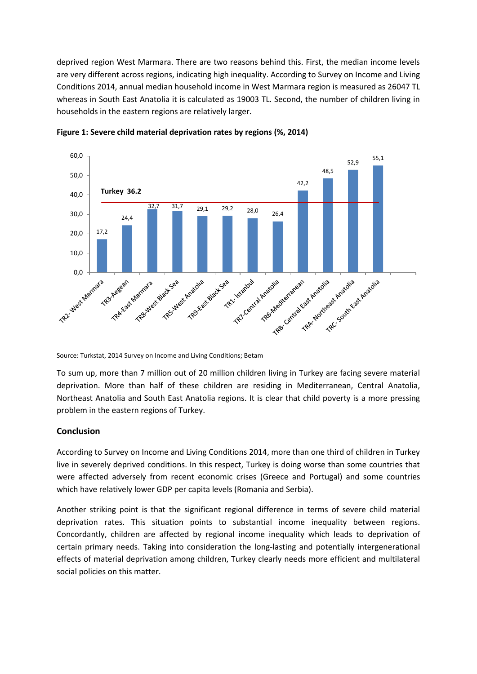deprived region West Marmara. There are two reasons behind this. First, the median income levels are very different across regions, indicating high inequality. According to Survey on Income and Living Conditions 2014, annual median household income in West Marmara region is measured as 26047 TL whereas in South East Anatolia it is calculated as 19003 TL. Second, the number of children living in households in the eastern regions are relatively larger.



<span id="page-3-0"></span>**Figure 1: Severe child material deprivation rates by regions (%, 2014)**

Source: Turkstat, 2014 Survey on Income and Living Conditions; Betam

To sum up, more than 7 million out of 20 million children living in Turkey are facing severe material deprivation. More than half of these children are residing in Mediterranean, Central Anatolia, Northeast Anatolia and South East Anatolia regions. It is clear that child poverty is a more pressing problem in the eastern regions of Turkey.

## **Conclusion**

According to Survey on Income and Living Conditions 2014, more than one third of children in Turkey live in severely deprived conditions. In this respect, Turkey is doing worse than some countries that were affected adversely from recent economic crises (Greece and Portugal) and some countries which have relatively lower GDP per capita levels (Romania and Serbia).

Another striking point is that the significant regional difference in terms of severe child material deprivation rates. This situation points to substantial income inequality between regions. Concordantly, children are affected by regional income inequality which leads to deprivation of certain primary needs. Taking into consideration the long-lasting and potentially intergenerational effects of material deprivation among children, Turkey clearly needs more efficient and multilateral social policies on this matter.